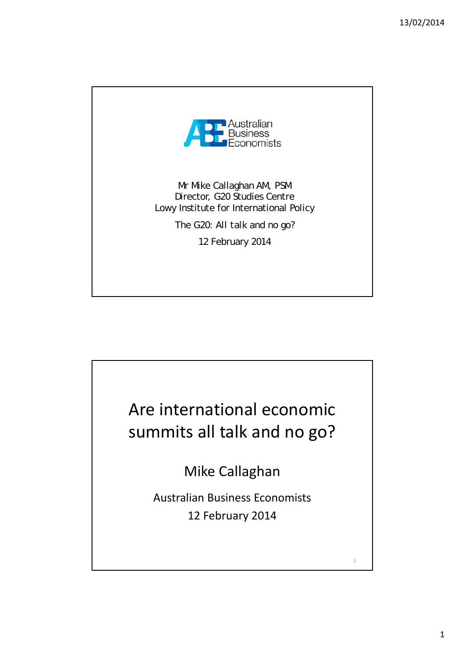

Mr Mike Callaghan AM, PSM Director, G20 Studies Centre Lowy Institute for International Policy

*The G20: All talk and no go?*

12 February 2014

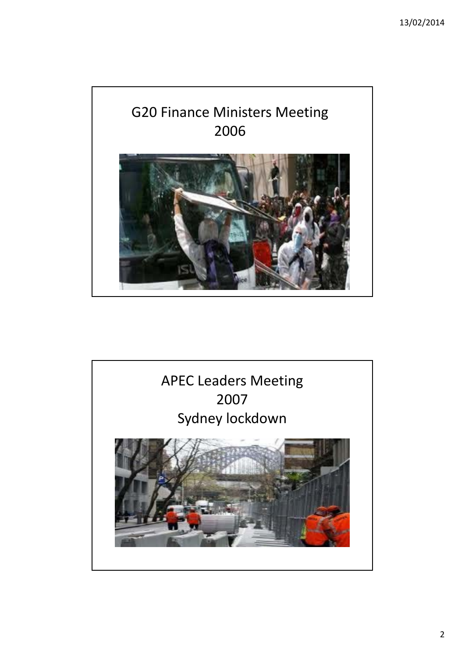

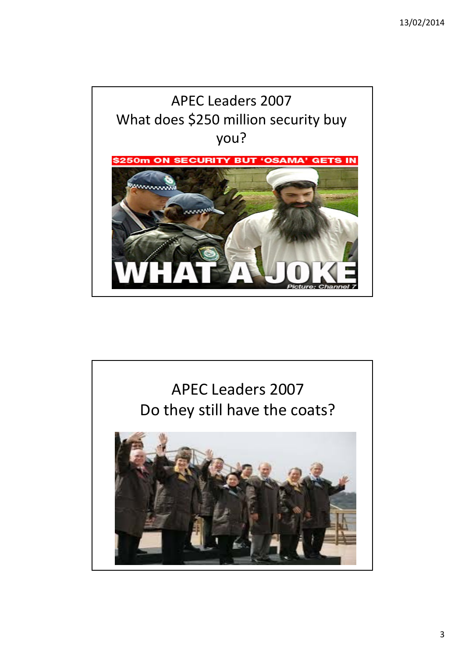

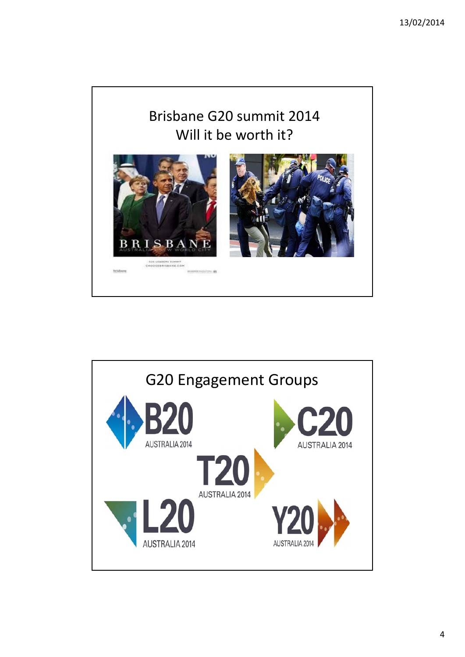

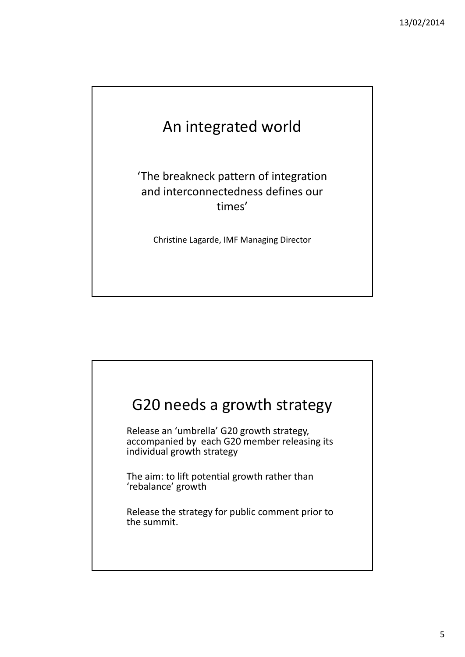## An integrated world

'The breakneck pattern of integration and interconnectedness defines our times'

Christine Lagarde, IMF Managing Director

## G20 needs a growth strategy

Release an 'umbrella' G20 growth strategy, accompanied by each G20 member releasing its individual growth strategy

The aim: to lift potential growth rather than 'rebalance' growth

Release the strategy for public comment prior to the summit.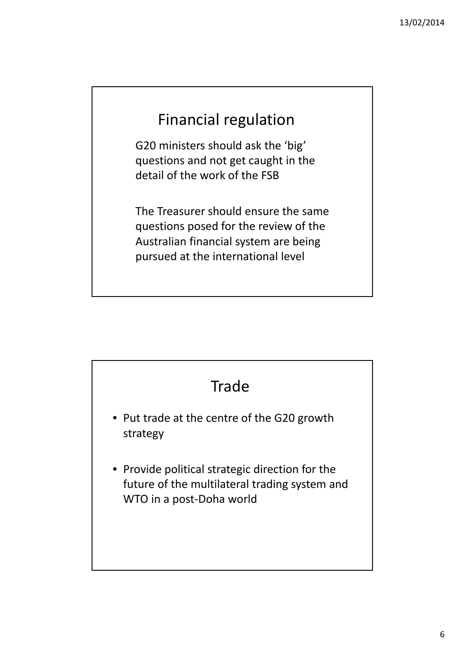## Financial regulation

G20 ministers should ask the 'big' questions and not get caught in the detail of the work of the FSB

The Treasurer should ensure the same questions posed for the review of the Australian financial system are being pursued at the international level